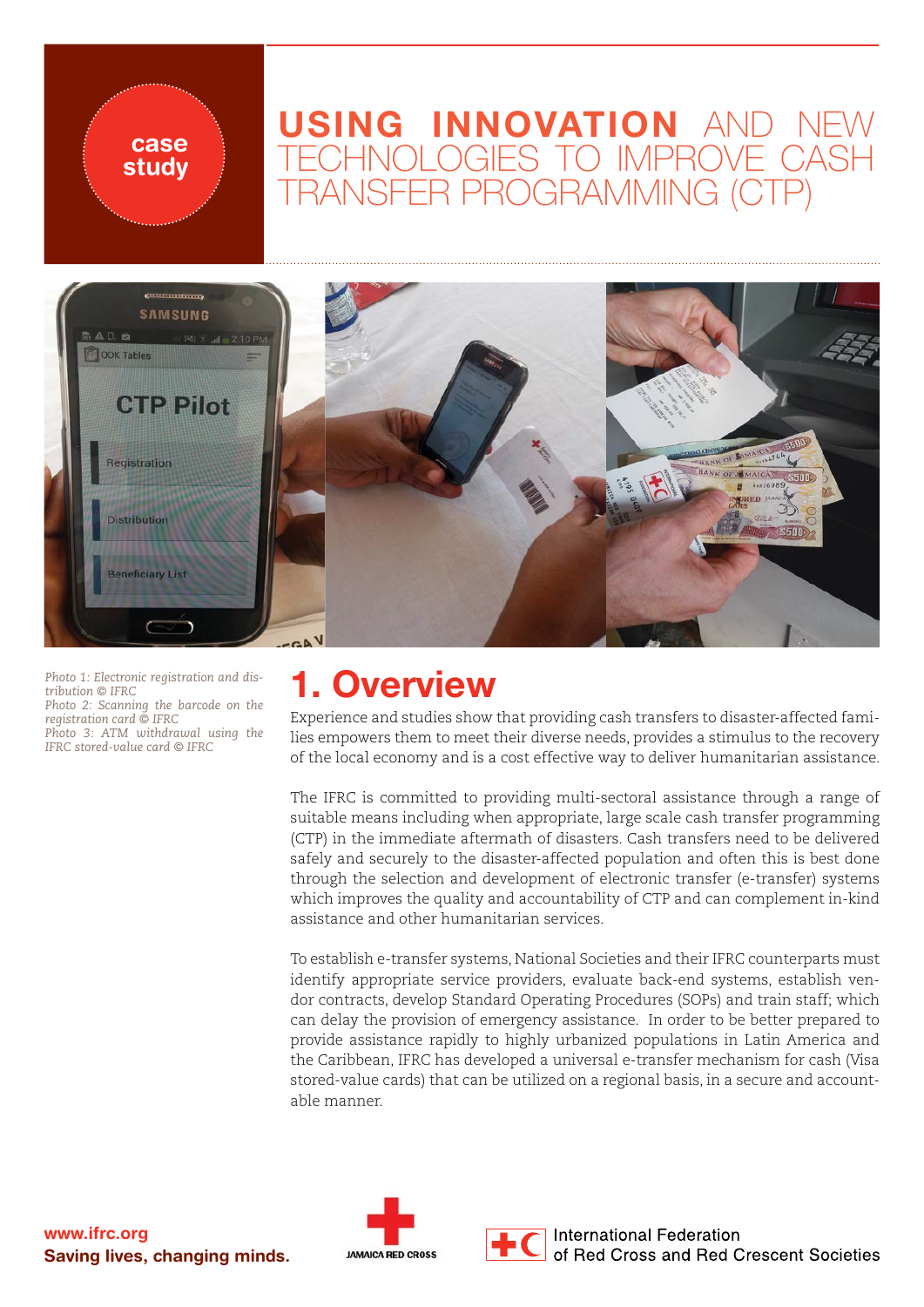### USING INNOVATION AND NEW TECHNOLOGIES TO IMPROVE CASH TRANSFER PROGRAMMING (CTP)



*Photo 1: Electronic registration and distribution © IFRC*

case study

*Photo 2: Scanning the barcode on the registration card © IFRC Photo 3: ATM withdrawal using the* 

*IFRC stored-value card © IFRC*

### 1. Overview

Experience and studies show that providing cash transfers to disaster-affected families empowers them to meet their diverse needs, provides a stimulus to the recovery of the local economy and is a cost effective way to deliver humanitarian assistance.

The IFRC is committed to providing multi-sectoral assistance through a range of suitable means including when appropriate, large scale cash transfer programming (CTP) in the immediate aftermath of disasters. Cash transfers need to be delivered safely and securely to the disaster-affected population and often this is best done through the selection and development of electronic transfer (e-transfer) systems which improves the quality and accountability of CTP and can complement in-kind assistance and other humanitarian services.

To establish e-transfer systems, National Societies and their IFRC counterparts must identify appropriate service providers, evaluate back-end systems, establish vendor contracts, develop Standard Operating Procedures (SOPs) and train staff; which can delay the provision of emergency assistance. In order to be better prepared to provide assistance rapidly to highly urbanized populations in Latin America and the Caribbean, IFRC has developed a universal e-transfer mechanism for cash (Visa stored-value cards) that can be utilized on a regional basis, in a secure and accountable manner.



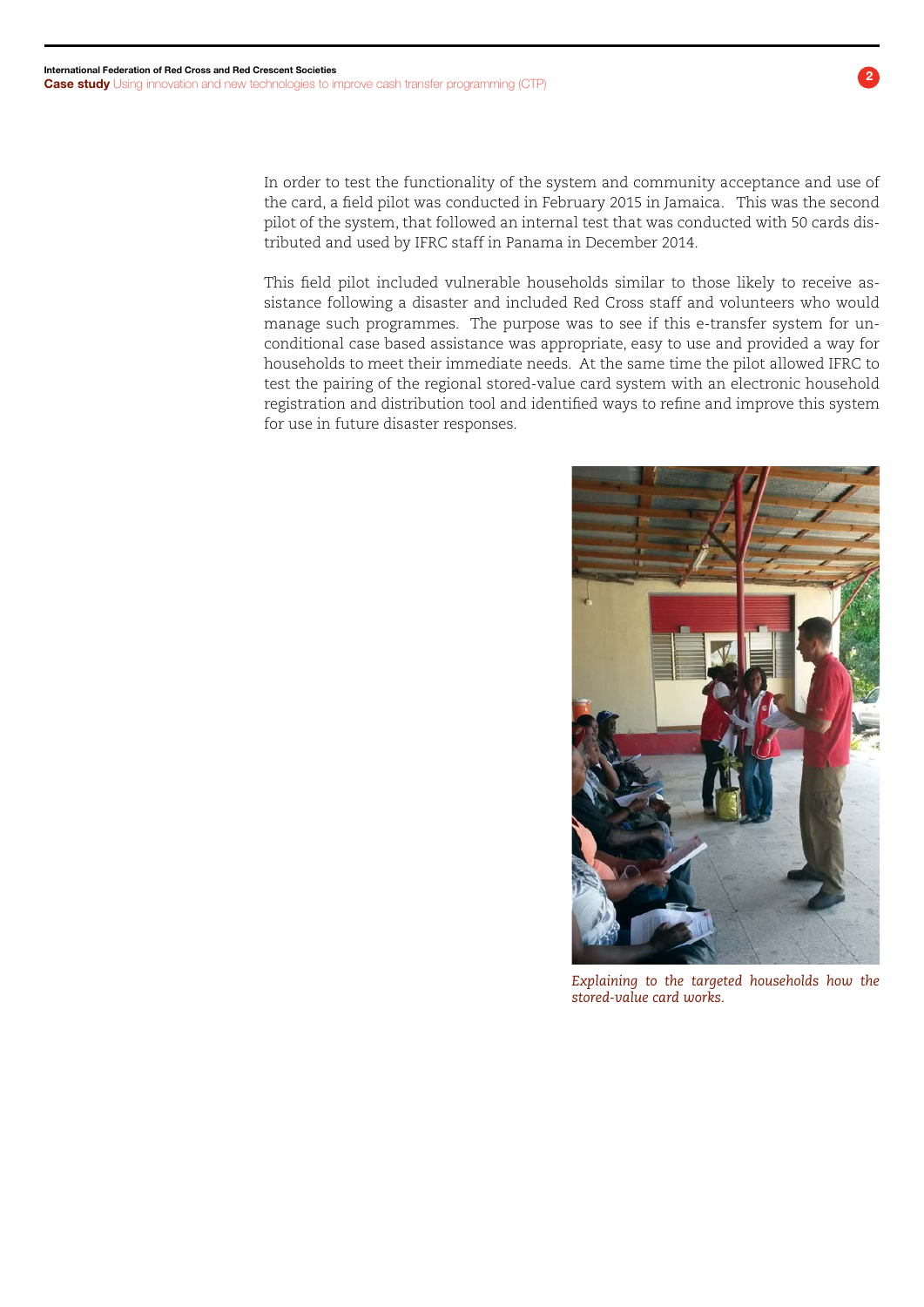In order to test the functionality of the system and community acceptance and use of the card, a field pilot was conducted in February 2015 in Jamaica. This was the second pilot of the system, that followed an internal test that was conducted with 50 cards distributed and used by IFRC staff in Panama in December 2014.

This field pilot included vulnerable households similar to those likely to receive assistance following a disaster and included Red Cross staff and volunteers who would manage such programmes. The purpose was to see if this e-transfer system for unconditional case based assistance was appropriate, easy to use and provided a way for households to meet their immediate needs. At the same time the pilot allowed IFRC to test the pairing of the regional stored-value card system with an electronic household registration and distribution tool and identified ways to refine and improve this system for use in future disaster responses.



*Explaining to the targeted households how the stored-value card works.*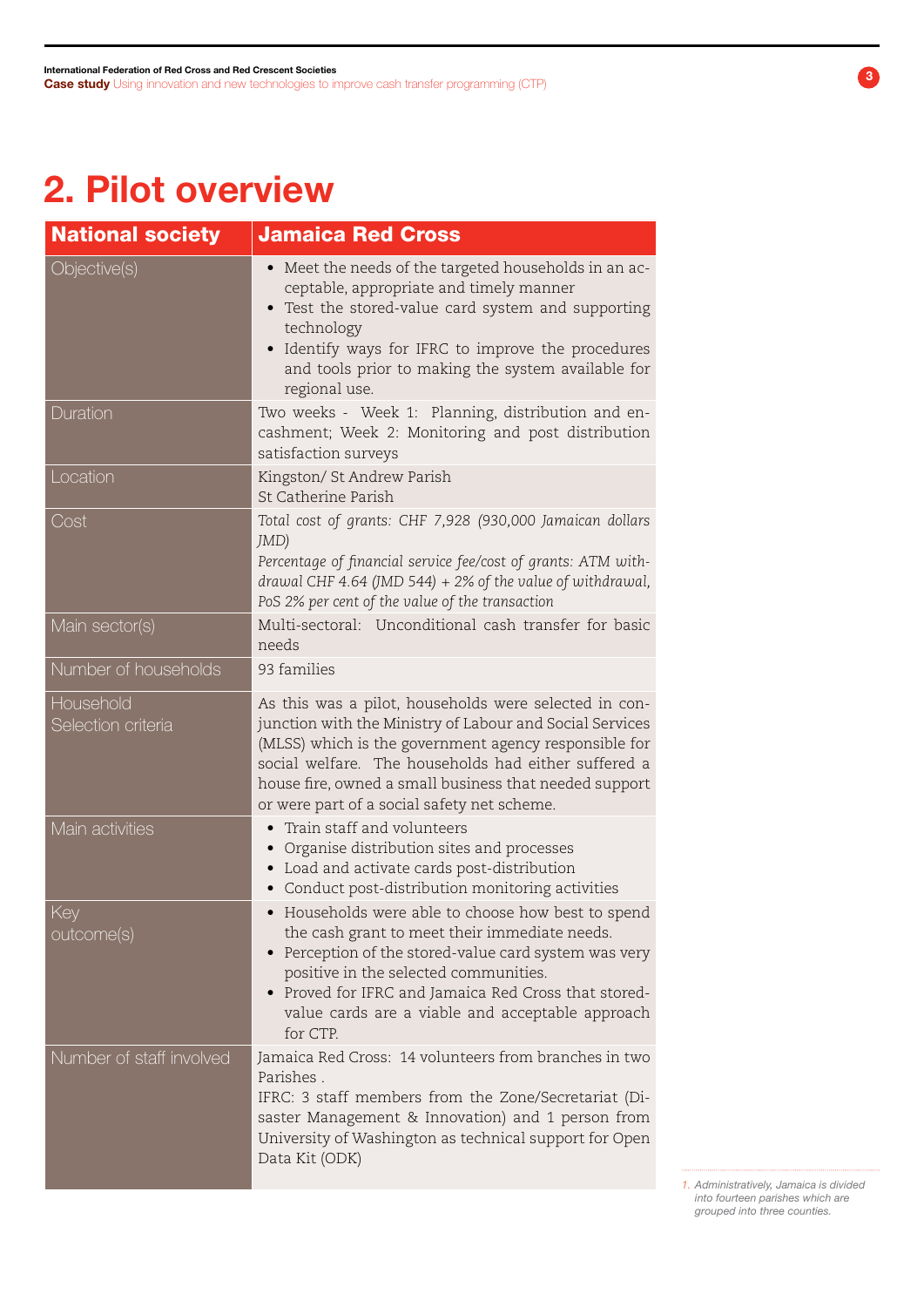# 2. Pilot overview

| <b>National society</b>         | <b>Jamaica Red Cross</b>                                                                                                                                                                                                                                                                                                                    |
|---------------------------------|---------------------------------------------------------------------------------------------------------------------------------------------------------------------------------------------------------------------------------------------------------------------------------------------------------------------------------------------|
| Objective(s)                    | • Meet the needs of the targeted households in an ac-<br>ceptable, appropriate and timely manner<br>Test the stored-value card system and supporting<br>technology<br>Identify ways for IFRC to improve the procedures<br>$\bullet$<br>and tools prior to making the system available for<br>regional use.                                  |
| Duration                        | Two weeks - Week 1: Planning, distribution and en-<br>cashment; Week 2: Monitoring and post distribution<br>satisfaction surveys                                                                                                                                                                                                            |
| Location                        | Kingston/ St Andrew Parish<br>St Catherine Parish                                                                                                                                                                                                                                                                                           |
| Cost                            | Total cost of grants: CHF 7,928 (930,000 Jamaican dollars<br>JMD)<br>Percentage of financial service fee/cost of grants: ATM with-<br>drawal CHF 4.64 (JMD 544) $+2\%$ of the value of withdrawal,<br>PoS 2% per cent of the value of the transaction                                                                                       |
| Main sector(s)                  | Multi-sectoral: Unconditional cash transfer for basic<br>needs                                                                                                                                                                                                                                                                              |
| Number of households            | 93 families                                                                                                                                                                                                                                                                                                                                 |
| Household<br>Selection criteria | As this was a pilot, households were selected in con-<br>junction with the Ministry of Labour and Social Services<br>(MLSS) which is the government agency responsible for<br>social welfare. The households had either suffered a<br>house fire, owned a small business that needed support<br>or were part of a social safety net scheme. |
| Main activities                 | Train staff and volunteers<br>Organise distribution sites and processes<br>Load and activate cards post-distribution<br>Conduct post-distribution monitoring activities<br>$\bullet$                                                                                                                                                        |
| Key<br>outcome(s)               | • Households were able to choose how best to spend<br>the cash grant to meet their immediate needs.<br>Perception of the stored-value card system was very<br>positive in the selected communities.<br>Proved for IFRC and Jamaica Red Cross that stored-<br>value cards are a viable and acceptable approach<br>for CTP.                   |
| Number of staff involved        | Jamaica Red Cross: 14 volunteers from branches in two<br>Parishes.<br>IFRC: 3 staff members from the Zone/Secretariat (Di-<br>saster Management & Innovation) and 1 person from<br>University of Washington as technical support for Open<br>Data Kit (ODK)                                                                                 |

*1. Administratively, Jamaica is divided into fourteen parishes which are grouped into three counties.*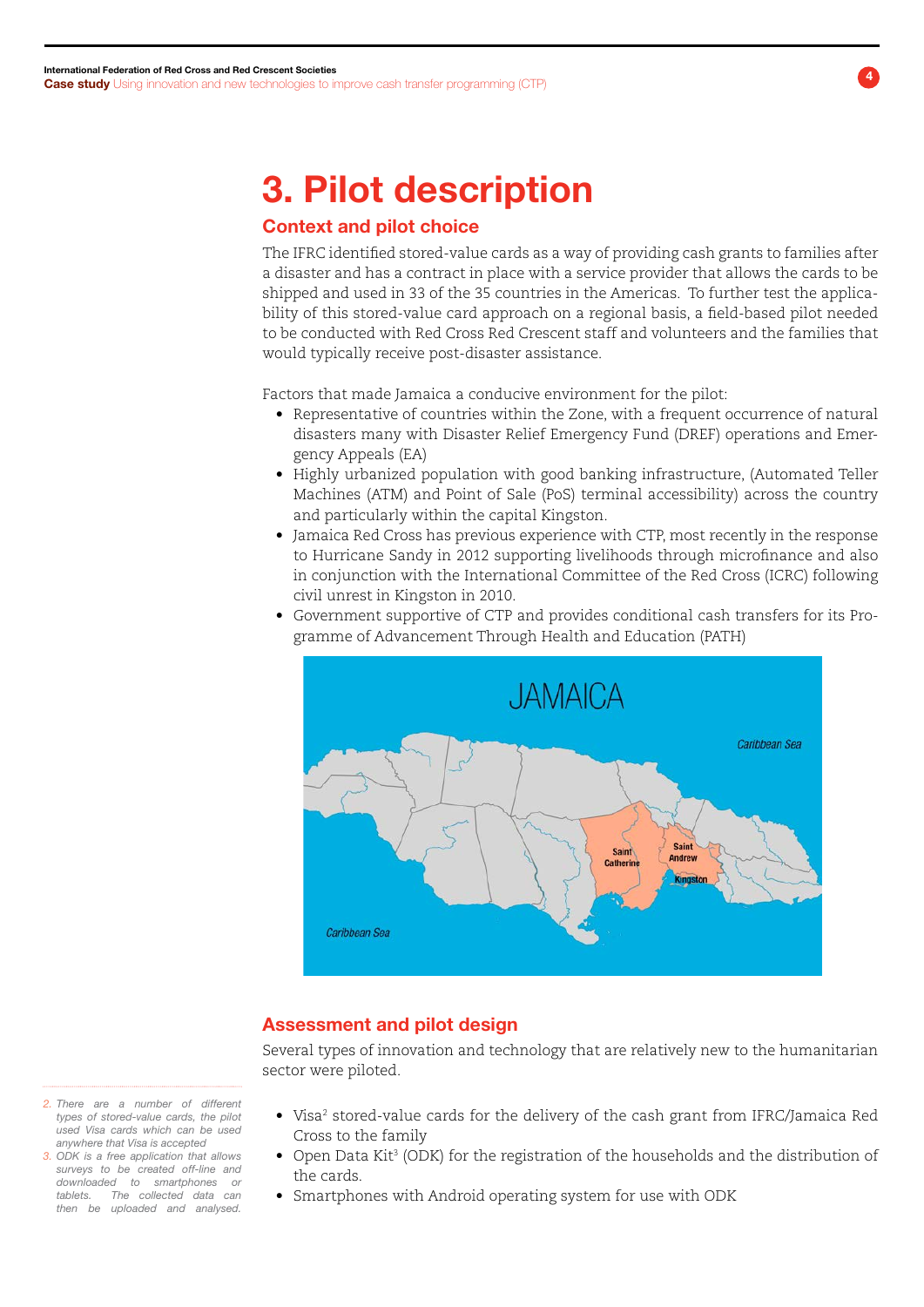### 3. Pilot description

### Context and pilot choice

The IFRC identified stored-value cards as a way of providing cash grants to families after a disaster and has a contract in place with a service provider that allows the cards to be shipped and used in 33 of the 35 countries in the Americas. To further test the applicability of this stored-value card approach on a regional basis, a field-based pilot needed to be conducted with Red Cross Red Crescent staff and volunteers and the families that would typically receive post-disaster assistance.

Factors that made Jamaica a conducive environment for the pilot:

- Representative of countries within the Zone, with a frequent occurrence of natural disasters many with Disaster Relief Emergency Fund (DREF) operations and Emergency Appeals (EA)
- • Highly urbanized population with good banking infrastructure, (Automated Teller Machines (ATM) and Point of Sale (PoS) terminal accessibility) across the country and particularly within the capital Kingston.
- • Jamaica Red Cross has previous experience with CTP, most recently in the response to Hurricane Sandy in 2012 supporting livelihoods through microfinance and also in conjunction with the International Committee of the Red Cross (ICRC) following civil unrest in Kingston in 2010.
- • Government supportive of CTP and provides conditional cash transfers for its Programme of Advancement Through Health and Education (PATH)



#### Assessment and pilot design

Several types of innovation and technology that are relatively new to the humanitarian sector were piloted.

- Visa<sup>2</sup> stored-value cards for the delivery of the cash grant from IFRC/Jamaica Red Cross to the family
- $\bullet$  Open Data Kit<sup>3</sup> (ODK) for the registration of the households and the distribution of the cards.
- Smartphones with Android operating system for use with ODK
- *2. There are a number of different types of stored-value cards, the pilot used Visa cards which can be used anywhere that Visa is accepted*
- *3. ODK is a free application that allows surveys to be created off-line and downloaded to smartphones or tablets. The collected data can then be uploaded and analysed.*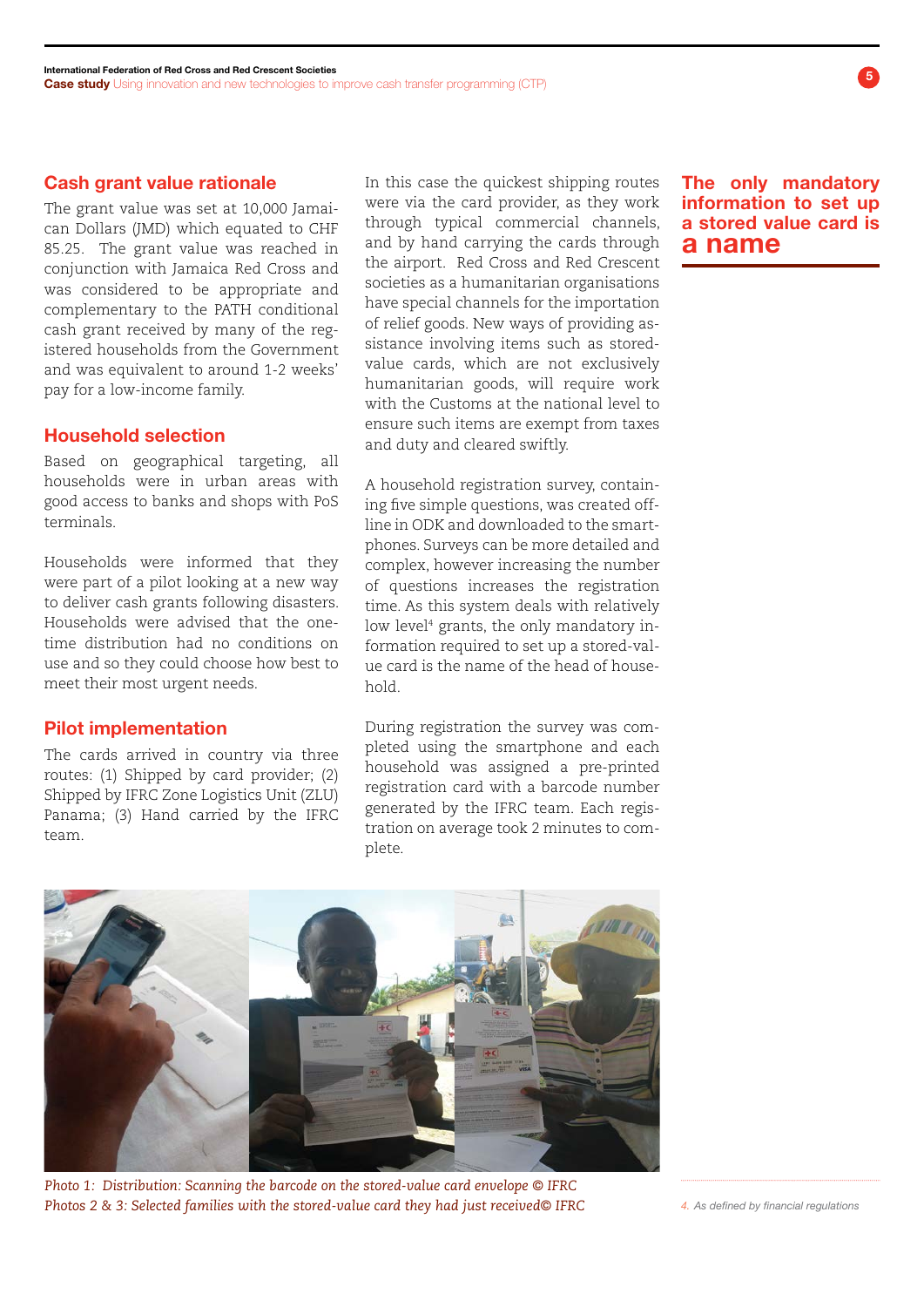#### Cash grant value rationale

The grant value was set at 10,000 Jamaican Dollars (JMD) which equated to CHF 85.25. The grant value was reached in conjunction with Jamaica Red Cross and was considered to be appropriate and complementary to the PATH conditional cash grant received by many of the registered households from the Government and was equivalent to around 1-2 weeks' pay for a low-income family.

#### Household selection

Based on geographical targeting, all households were in urban areas with good access to banks and shops with PoS terminals.

Households were informed that they were part of a pilot looking at a new way to deliver cash grants following disasters. Households were advised that the onetime distribution had no conditions on use and so they could choose how best to meet their most urgent needs.

#### Pilot implementation

The cards arrived in country via three routes: (1) Shipped by card provider; (2) Shipped by IFRC Zone Logistics Unit (ZLU) Panama; (3) Hand carried by the IFRC team.

In this case the quickest shipping routes were via the card provider, as they work through typical commercial channels, and by hand carrying the cards through the airport. Red Cross and Red Crescent societies as a humanitarian organisations have special channels for the importation of relief goods. New ways of providing assistance involving items such as storedvalue cards, which are not exclusively humanitarian goods, will require work with the Customs at the national level to ensure such items are exempt from taxes and duty and cleared swiftly.

A household registration survey, containing five simple questions, was created offline in ODK and downloaded to the smartphones. Surveys can be more detailed and complex, however increasing the number of questions increases the registration time. As this system deals with relatively low level4 grants, the only mandatory information required to set up a stored-value card is the name of the head of household.

During registration the survey was completed using the smartphone and each household was assigned a pre-printed registration card with a barcode number generated by the IFRC team. Each registration on average took 2 minutes to complete.

The only mandatory information to set up a stored value card is a name



*Photo 1: Distribution: Scanning the barcode on the stored-value card envelope © IFRC Photos 2 & 3: Selected families with the stored-value card they had just received© IFRC 4. As defined by financial regulations*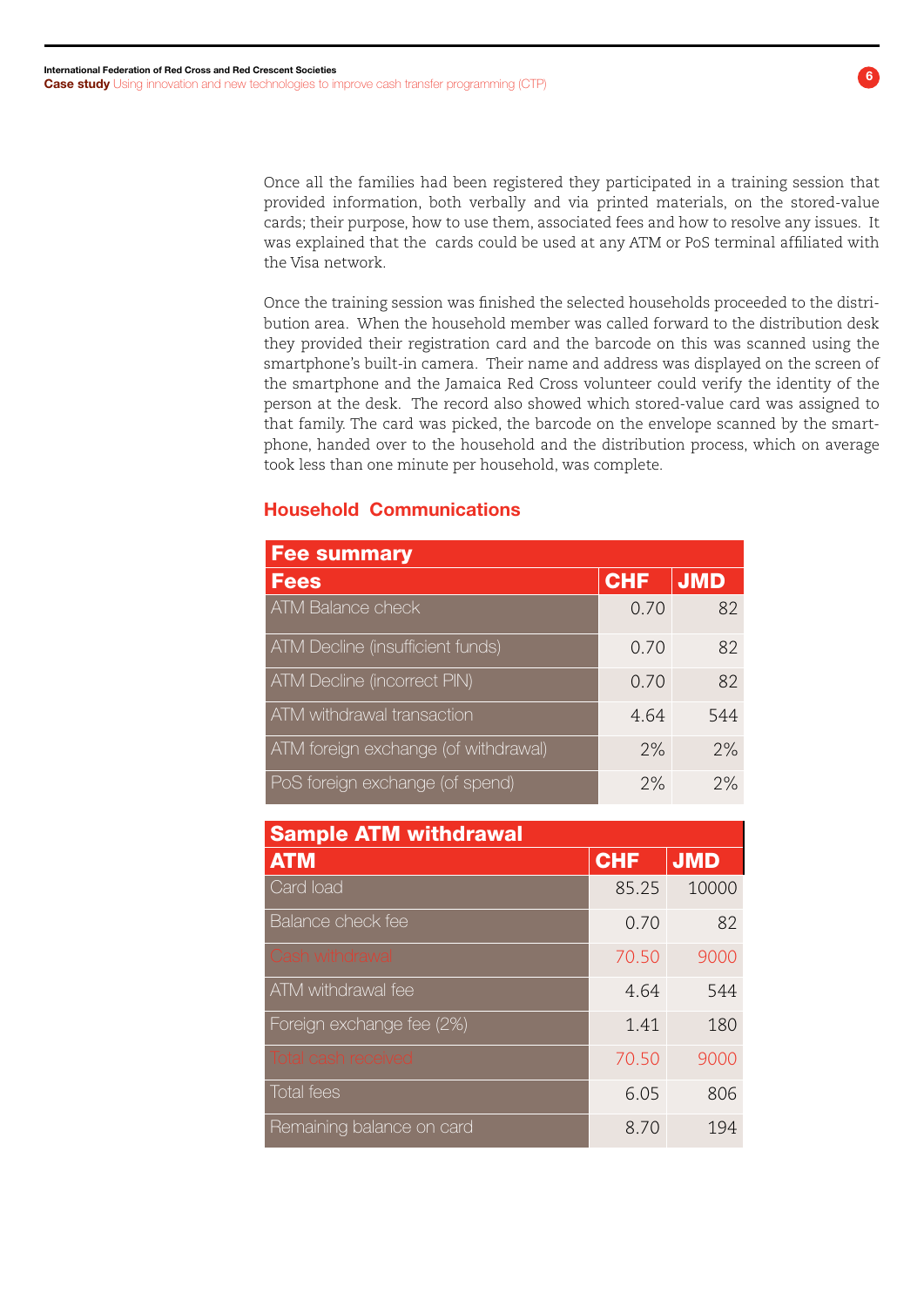Once all the families had been registered they participated in a training session that provided information, both verbally and via printed materials, on the stored-value cards; their purpose, how to use them, associated fees and how to resolve any issues. It was explained that the cards could be used at any ATM or PoS terminal affiliated with the Visa network.

Once the training session was finished the selected households proceeded to the distribution area. When the household member was called forward to the distribution desk they provided their registration card and the barcode on this was scanned using the smartphone's built-in camera. Their name and address was displayed on the screen of the smartphone and the Jamaica Red Cross volunteer could verify the identity of the person at the desk. The record also showed which stored-value card was assigned to that family. The card was picked, the barcode on the envelope scanned by the smartphone, handed over to the household and the distribution process, which on average took less than one minute per household, was complete.

### Household Communications

| <b>Fee summary</b>                   |            |            |
|--------------------------------------|------------|------------|
| <b>Fees</b>                          | <b>CHF</b> | <b>JMD</b> |
| ATM Balance check                    | 0.70       | 82         |
| ATM Decline (insufficient funds)     | 0.70       | 82         |
| <b>ATM Decline (incorrect PIN)</b>   | 0.70       | 82         |
| ATM withdrawal transaction           | 4.64       | 544        |
| ATM foreign exchange (of withdrawal) | 2%         | 2%         |
| PoS foreign exchange (of spend)      | 2%         | 2%         |

| <b>Sample ATM withdrawal</b> |            |            |  |
|------------------------------|------------|------------|--|
| <b>ATM</b>                   | <b>CHF</b> | <b>JMD</b> |  |
| Card load                    | 85.25      | 10000      |  |
| Balance check fee            | 0.70       | 82         |  |
| Cash withdrawal              | 70.50      | 9000       |  |
| ATM withdrawal fee           | 4.64       | 544        |  |
| Foreign exchange fee (2%)    | 1.41       | 180        |  |
| <b>Total cash received</b>   | 70.50      | 9000       |  |
| <b>Total fees</b>            | 6.05       | 806        |  |
| Remaining balance on card    | 8.70       | 194        |  |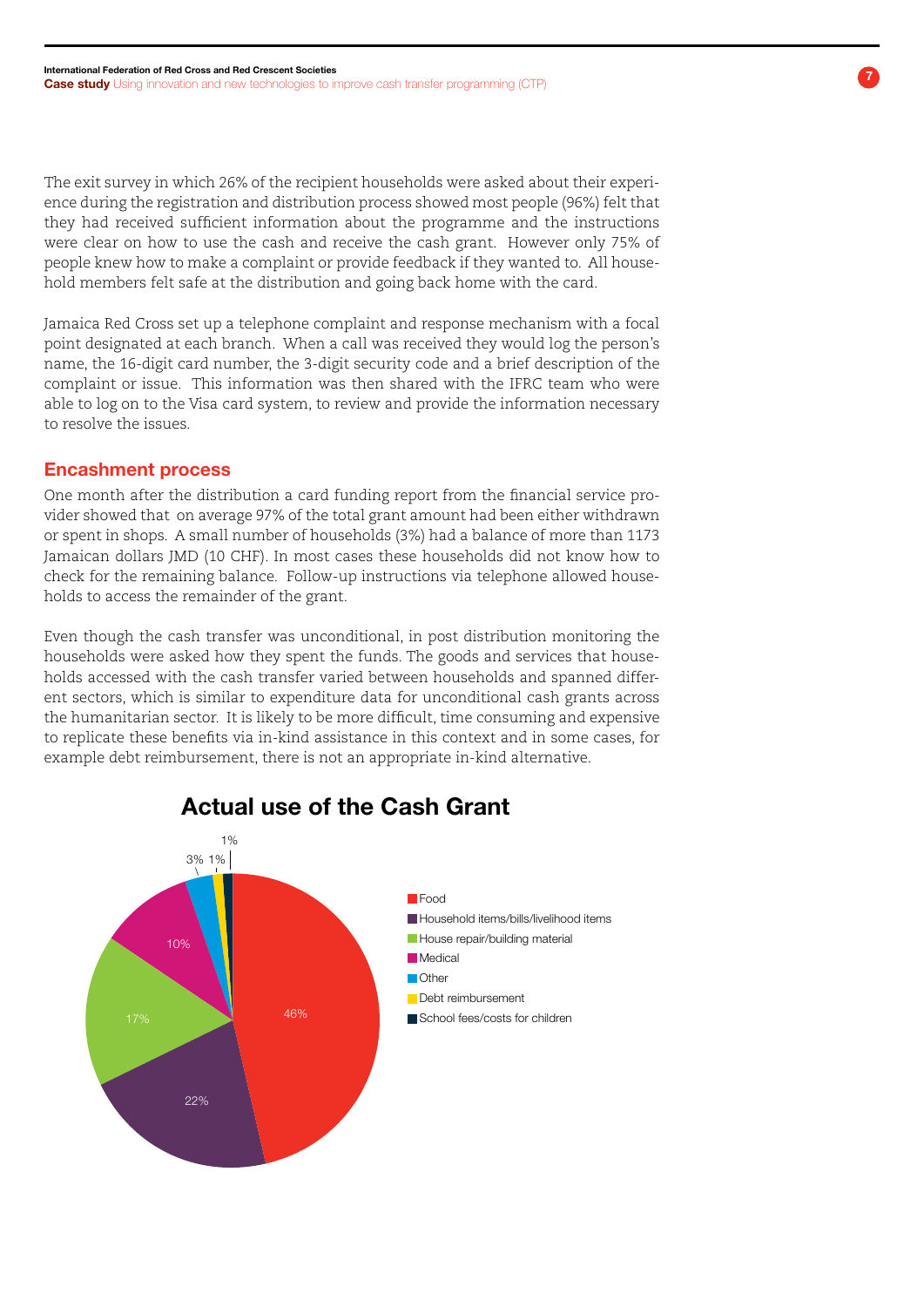The exit survey in which 26% of the recipient households were asked about their experience during the registration and distribution process showed most people (96%) felt that they had received sufficient information about the programme and the instructions were clear on how to use the cash and receive the cash grant. However only 75% of people knew how to make a complaint or provide feedback if they wanted to. All household members felt safe at the distribution and going back home with the card.

Jamaica Red Cross set up a telephone complaint and response mechanism with a focal point designated at each branch. When a call was received they would log the person's name, the 16-digit card number, the 3-digit security code and a brief description of the complaint or issue. This information was then shared with the IFRC team who were able to log on to the Visa card system, to review and provide the information necessary to resolve the issues.

#### Encashment process

One month after the distribution a card funding report from the financial service provider showed that on average 97% of the total grant amount had been either withdrawn or spent in shops. A small number of households (3%) had a balance of more than 1173 Jamaican dollars JMD (10 CHF). In most cases these households did not know how to check for the remaining balance. Follow-up instructions via telephone allowed households to access the remainder of the grant.

Even though the cash transfer was unconditional, in post distribution monitoring the households were asked how they spent the funds. The goods and services that households accessed with the cash transfer varied between households and spanned different sectors, which is similar to expenditure data for unconditional cash grants across the humanitarian sector. It is likely to be more difficult, time consuming and expensive to replicate these benefits via in-kind assistance in this context and in some cases, for example debt reimbursement, there is not an appropriate in-kind alternative.



Actual use of the Cash Grant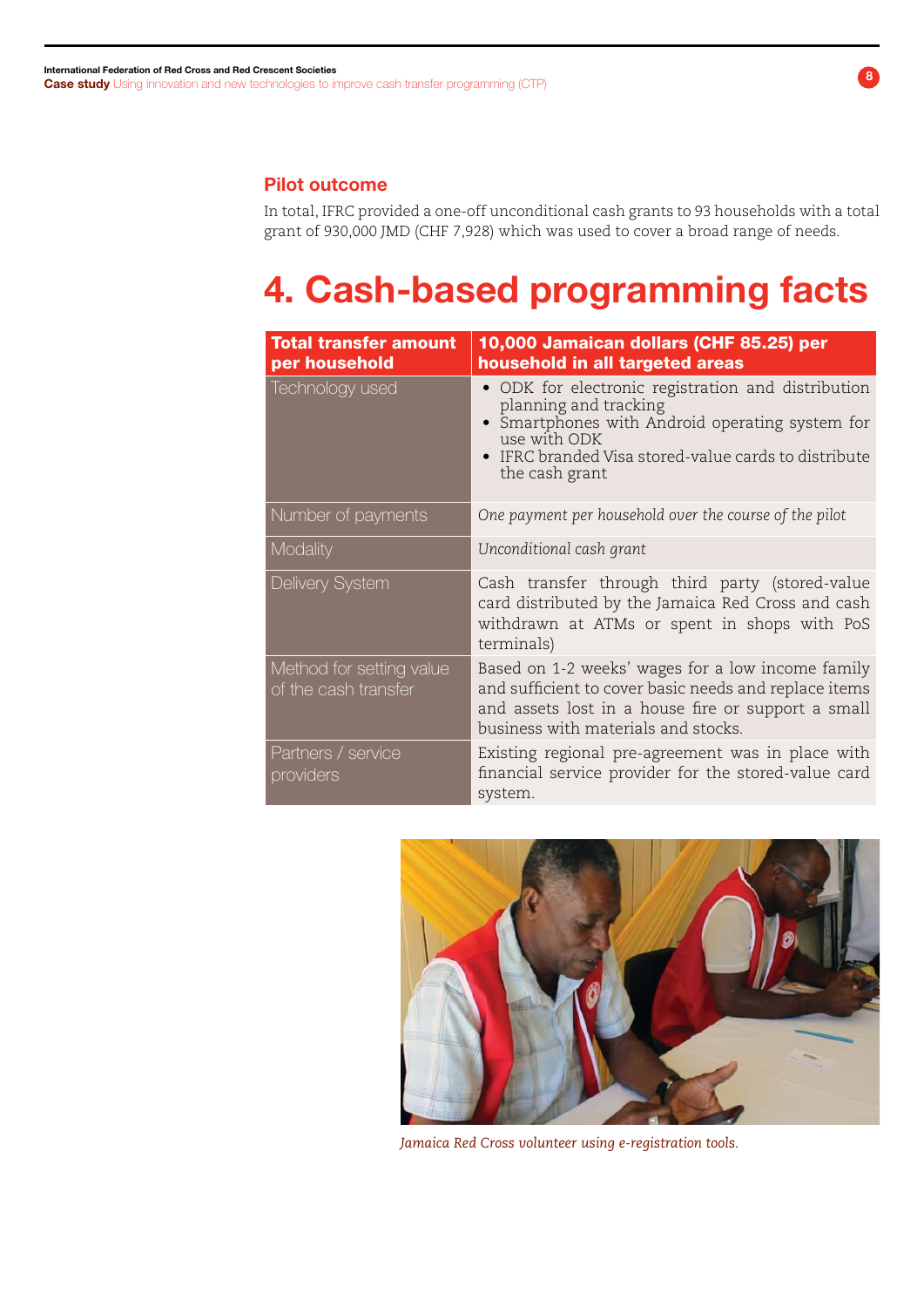### Pilot outcome

In total, IFRC provided a one-off unconditional cash grants to 93 households with a total grant of 930,000 JMD (CHF 7,928) which was used to cover a broad range of needs.

# 4. Cash-based programming facts

| <b>Total transfer amount</b>                     | 10,000 Jamaican dollars (CHF 85.25) per                                                                                                                                                                                                                   |
|--------------------------------------------------|-----------------------------------------------------------------------------------------------------------------------------------------------------------------------------------------------------------------------------------------------------------|
| per household<br>Technology used                 | household in all targeted areas<br>• ODK for electronic registration and distribution<br>planning and tracking<br>Smartphones with Android operating system for<br>use with ODK<br>• IFRC branded Visa stored-value cards to distribute<br>the cash grant |
| Number of payments                               | One payment per household over the course of the pilot                                                                                                                                                                                                    |
| Modality                                         | Unconditional cash grant                                                                                                                                                                                                                                  |
| Delivery System                                  | Cash transfer through third party (stored-value<br>card distributed by the Jamaica Red Cross and cash<br>withdrawn at ATMs or spent in shops with PoS<br>terminals)                                                                                       |
| Method for setting value<br>of the cash transfer | Based on 1-2 weeks' wages for a low income family<br>and sufficient to cover basic needs and replace items<br>and assets lost in a house fire or support a small<br>business with materials and stocks.                                                   |
| Partners / service<br>providers                  | Existing regional pre-agreement was in place with<br>financial service provider for the stored-value card<br>system.                                                                                                                                      |



*Jamaica Red Cross volunteer using e-registration tools.*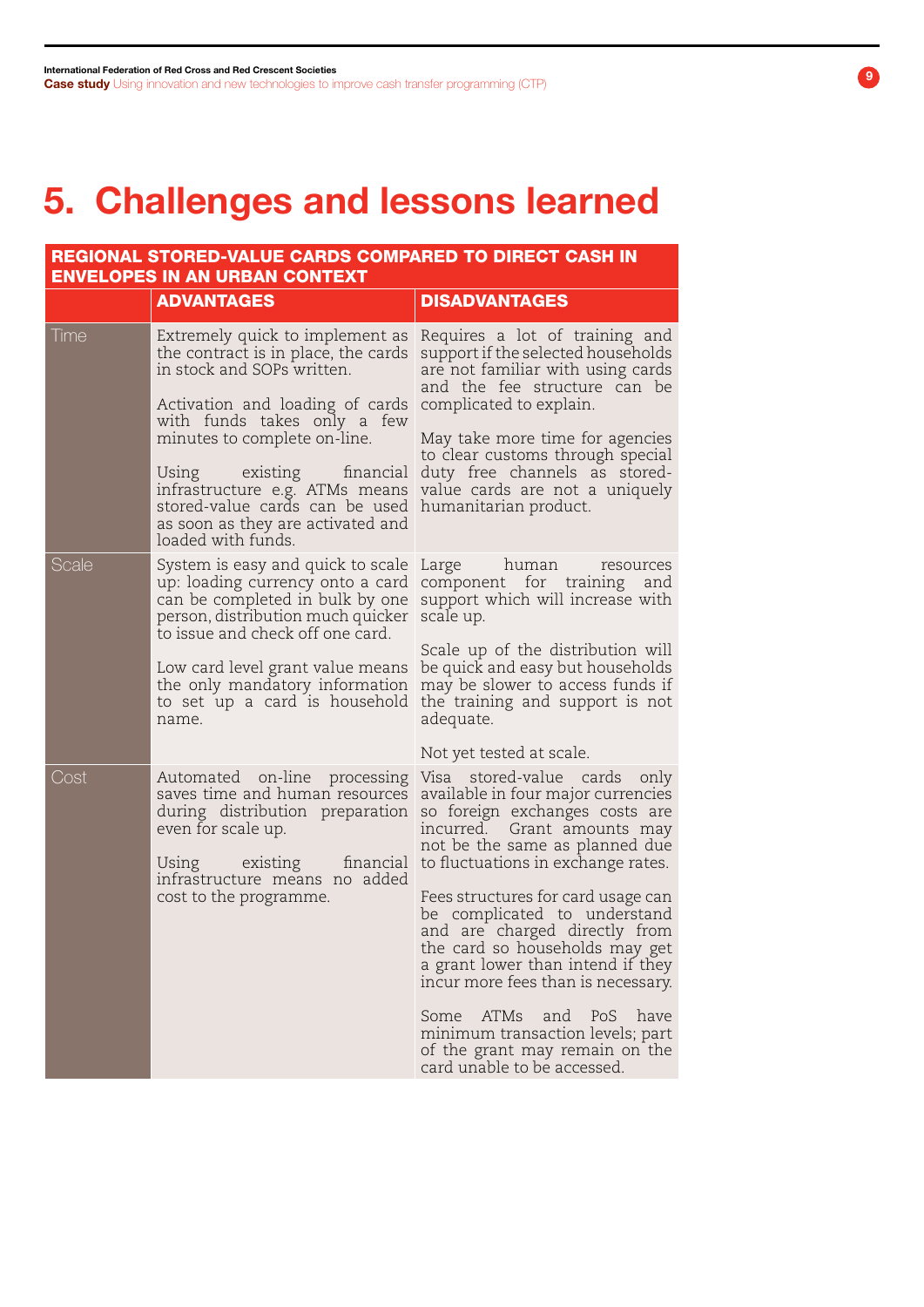# 5. Challenges and lessons learned

| REGIONAL STORED-VALUE CARDS COMPARED TO DIRECT CASH IN<br><b>ENVELOPES IN AN URBAN CONTEXT</b> |                                                                                                                                                                                                                                                                                                                                                                      |                                                                                                                                                                                                                                                                                                                                                                                                                                                                                                                                                                      |  |  |
|------------------------------------------------------------------------------------------------|----------------------------------------------------------------------------------------------------------------------------------------------------------------------------------------------------------------------------------------------------------------------------------------------------------------------------------------------------------------------|----------------------------------------------------------------------------------------------------------------------------------------------------------------------------------------------------------------------------------------------------------------------------------------------------------------------------------------------------------------------------------------------------------------------------------------------------------------------------------------------------------------------------------------------------------------------|--|--|
|                                                                                                | <b>ADVANTAGES</b>                                                                                                                                                                                                                                                                                                                                                    | <b>DISADVANTAGES</b>                                                                                                                                                                                                                                                                                                                                                                                                                                                                                                                                                 |  |  |
| Time                                                                                           | Extremely quick to implement as<br>the contract is in place, the cards<br>in stock and SOPs written.<br>Activation and loading of cards<br>with funds takes only a few<br>minutes to complete on-line.<br>existing financial<br>Using<br>infrastructure e.g. ATMs means<br>stored-value cards can be used<br>as soon as they are activated and<br>loaded with funds. | Requires a lot of training and<br>support if the selected households<br>are not familiar with using cards<br>and the fee structure can be<br>complicated to explain.<br>May take more time for agencies<br>to clear customs through special<br>duty free channels as stored-<br>value cards are not a uniquely<br>humanitarian product.                                                                                                                                                                                                                              |  |  |
| Scale                                                                                          | System is easy and quick to scale<br>up: loading currency onto a card<br>can be completed in bulk by one<br>person, distribution much quicker<br>to issue and check off one card.<br>Low card level grant value means<br>the only mandatory information<br>to set up a card is household<br>name.                                                                    | Large<br>human<br>resources<br>component for training<br>and<br>support which will increase with<br>scale up.<br>Scale up of the distribution will<br>be quick and easy but households<br>may be slower to access funds if<br>the training and support is not<br>adequate.<br>Not yet tested at scale.                                                                                                                                                                                                                                                               |  |  |
| Cost                                                                                           | Automated on-line processing<br>saves time and human resources<br>during distribution preparation<br>even for scale up.<br>Using existing<br>financial<br>infrastructure means no added<br>cost to the programme.                                                                                                                                                    | Visa stored-value cards<br>only<br>available in four major currencies<br>so foreign exchanges costs are<br>incurred. Grant amounts may<br>not be the same as planned due<br>to fluctuations in exchange rates.<br>Fees structures for card usage can<br>be complicated to understand<br>and are charged directly from<br>the card so households may get<br>a grant lower than intend if they<br>incur more fees than is necessary.<br>Some ATMs<br>and PoS have<br>minimum transaction levels; part<br>of the grant may remain on the<br>card unable to be accessed. |  |  |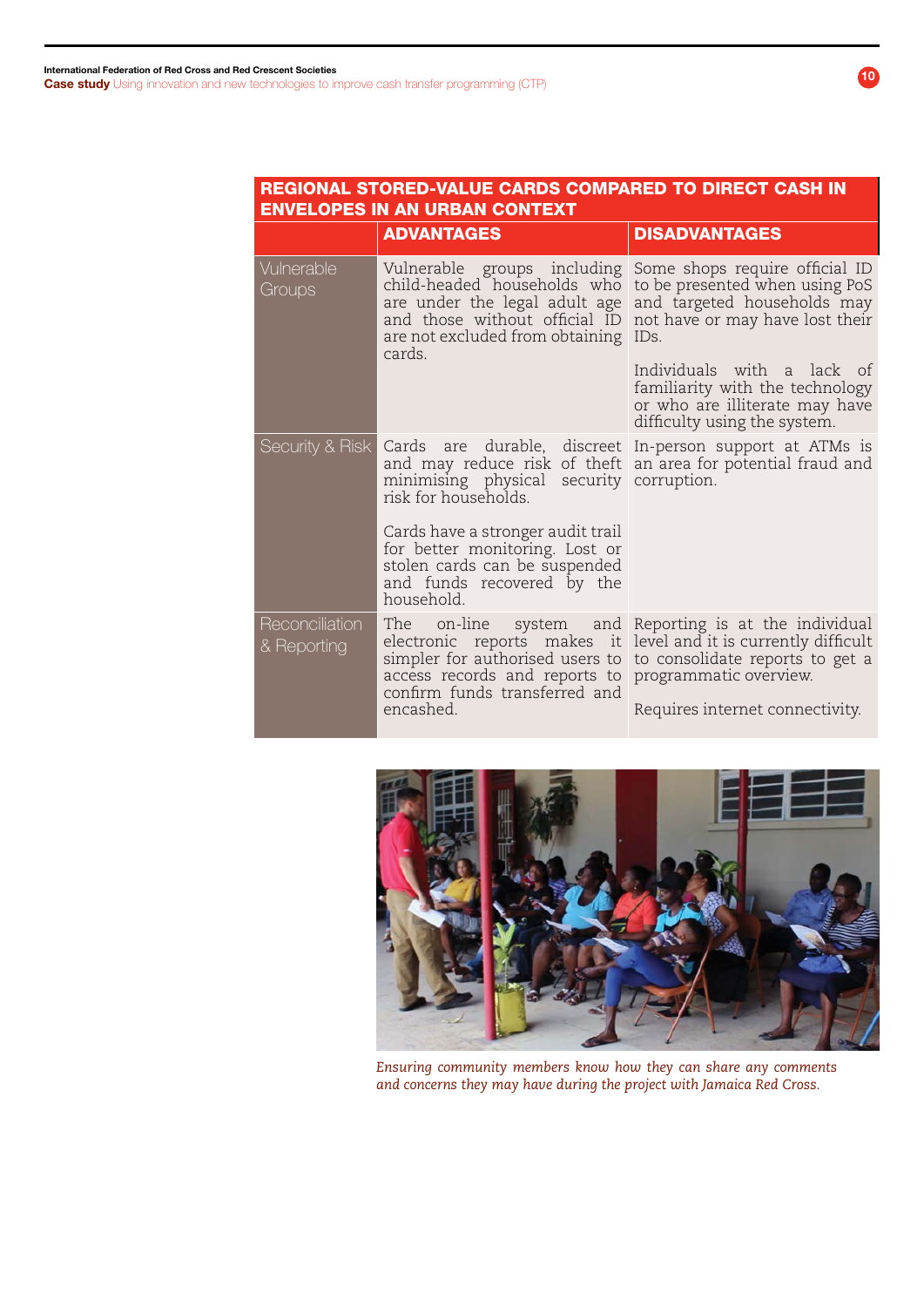#### REGIONAL STORED-VALUE CARDS COMPARED TO DIRECT CASH IN ENVELOPES IN AN URBAN CONTEXT

|                               | <b>ADVANTAGES</b>                                                                                                                                                                                                                                                                | <b>DISADVANTAGES</b>                                                                                                                                                                                                                                                                              |
|-------------------------------|----------------------------------------------------------------------------------------------------------------------------------------------------------------------------------------------------------------------------------------------------------------------------------|---------------------------------------------------------------------------------------------------------------------------------------------------------------------------------------------------------------------------------------------------------------------------------------------------|
| Vulnerable<br>Groups          | child-headed households who<br>are under the legal adult age<br>and those without official ID<br>are not excluded from obtaining IDs.<br>cards.                                                                                                                                  | Vulnerable groups including Some shops require official ID<br>to be presented when using PoS<br>and targeted households may<br>not have or may have lost their<br>Individuals with a lack of<br>familiarity with the technology<br>or who are illiterate may have<br>difficulty using the system. |
| Security & Risk               | Cards are durable, discreet In-person support at ATMs is<br>minimising physical security corruption.<br>risk for households.<br>Cards have a stronger audit trail<br>for better monitoring. Lost or<br>stolen cards can be suspended<br>and funds recovered by the<br>household. | and may reduce risk of theft an area for potential fraud and                                                                                                                                                                                                                                      |
| Reconciliation<br>& Reporting | The on-line<br>access records and reports to programmatic overview.<br>confirm funds transferred and<br>encashed.                                                                                                                                                                | system and Reporting is at the individual<br>electronic reports makes it level and it is currently difficult<br>simpler for authorised users to to consolidate reports to get a<br>Requires internet connectivity.                                                                                |



*Ensuring community members know how they can share any comments and concerns they may have during the project with Jamaica Red Cross.*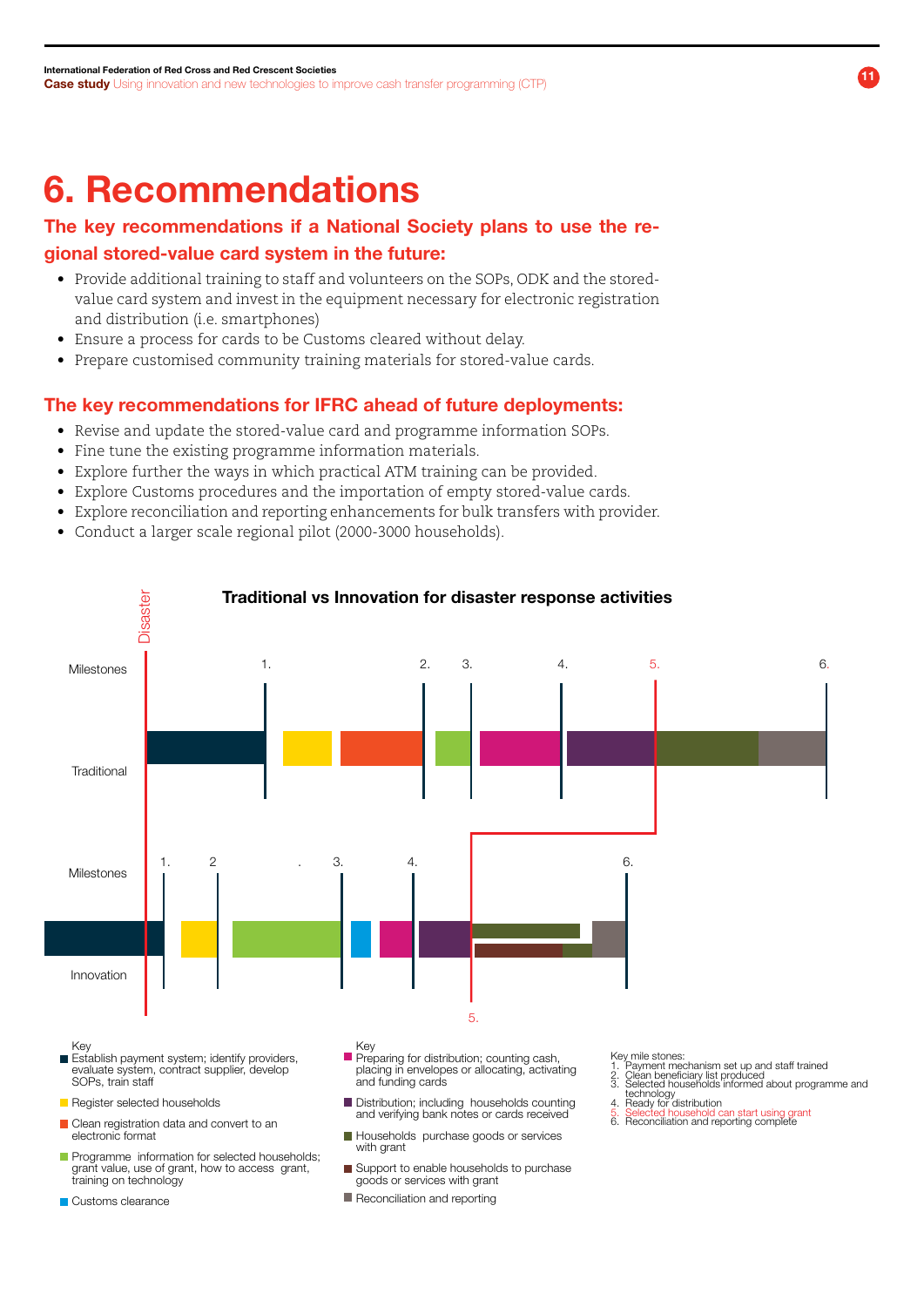# 6. Recommendations

### The key recommendations if a National Society plans to use the regional stored-value card system in the future:

- • Provide additional training to staff and volunteers on the SOPs, ODK and the storedvalue card system and invest in the equipment necessary for electronic registration and distribution (i.e. smartphones)
- Ensure a process for cards to be Customs cleared without delay.
- Prepare customised community training materials for stored-value cards.

#### The key recommendations for IFRC ahead of future deployments:

- Revise and update the stored-value card and programme information SOPs.
- Fine tune the existing programme information materials.
- Explore further the ways in which practical ATM training can be provided.
- • Explore Customs procedures and the importation of empty stored-value cards.
- • Explore reconciliation and reporting enhancements for bulk transfers with provider.
- • Conduct a larger scale regional pilot (2000-3000 households).



- grant value, use of grant, how to access grant, training on technology
- Customs clearance
- goods or services with grant
- Reconciliation and reporting